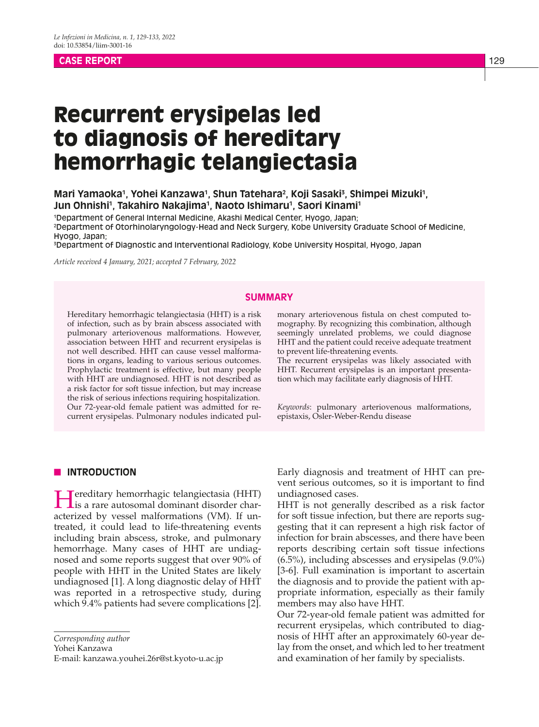## **CASE REPORT** 129

# Recurrent erysipelas led to diagnosis of hereditary hemorrhagic telangiectasia

# Mari Yamaoka<sup>1</sup>, Yohei Kanzawa<sup>1</sup>, Shun Tatehara<sup>2</sup>, Koji Sasaki<sup>3</sup>, Shimpei Mizuki<sup>1</sup>, Jun Ohnishi<sup>1</sup>, Takahiro Nakajima<sup>1</sup>, Naoto Ishimaru<sup>1</sup>, Saori Kinami<sup>1</sup>

1 Department of General Internal Medicine, Akashi Medical Center, Hyogo, Japan; 2 Department of Otorhinolaryngology-Head and Neck Surgery, Kobe University Graduate School of Medicine, Hyogo, Japan;

3 Department of Diagnostic and Interventional Radiology, Kobe University Hospital, Hyogo, Japan

*Article received 4 January, 2021; accepted 7 February, 2022*

## **SUMMARY**

Hereditary hemorrhagic telangiectasia (HHT) is a risk of infection, such as by brain abscess associated with pulmonary arteriovenous malformations. However, association between HHT and recurrent erysipelas is not well described. HHT can cause vessel malformations in organs, leading to various serious outcomes. Prophylactic treatment is effective, but many people with HHT are undiagnosed. HHT is not described as a risk factor for soft tissue infection, but may increase the risk of serious infections requiring hospitalization. Our 72-year-old female patient was admitted for recurrent erysipelas. Pulmonary nodules indicated pulmonary arteriovenous fistula on chest computed tomography. By recognizing this combination, although seemingly unrelated problems, we could diagnose HHT and the patient could receive adequate treatment to prevent life-threatening events.

The recurrent erysipelas was likely associated with HHT. Recurrent erysipelas is an important presentation which may facilitate early diagnosis of HHT.

*Keywords*: pulmonary arteriovenous malformations, epistaxis, Osler-Weber-Rendu disease

#### **N** INTRODUCTION

Hereditary hemorrhagic telangiectasia (HHT) is a rare autosomal dominant disorder characterized by vessel malformations (VM). If untreated, it could lead to life-threatening events including brain abscess, stroke, and pulmonary hemorrhage. Many cases of HHT are undiagnosed and some reports suggest that over 90% of people with HHT in the United States are likely undiagnosed [1]. A long diagnostic delay of HHT was reported in a retrospective study, during which 9.4% patients had severe complications [2].

*Corresponding author*

Yohei Kanzawa

E-mail: kanzawa.youhei.26r@st.kyoto-u.ac.jp

Early diagnosis and treatment of HHT can prevent serious outcomes, so it is important to find undiagnosed cases.

HHT is not generally described as a risk factor for soft tissue infection, but there are reports suggesting that it can represent a high risk factor of infection for brain abscesses, and there have been reports describing certain soft tissue infections (6.5%), including abscesses and erysipelas (9.0%) [3-6]. Full examination is important to ascertain the diagnosis and to provide the patient with appropriate information, especially as their family members may also have HHT.

Our 72-year-old female patient was admitted for recurrent erysipelas, which contributed to diagnosis of HHT after an approximately 60-year delay from the onset, and which led to her treatment and examination of her family by specialists.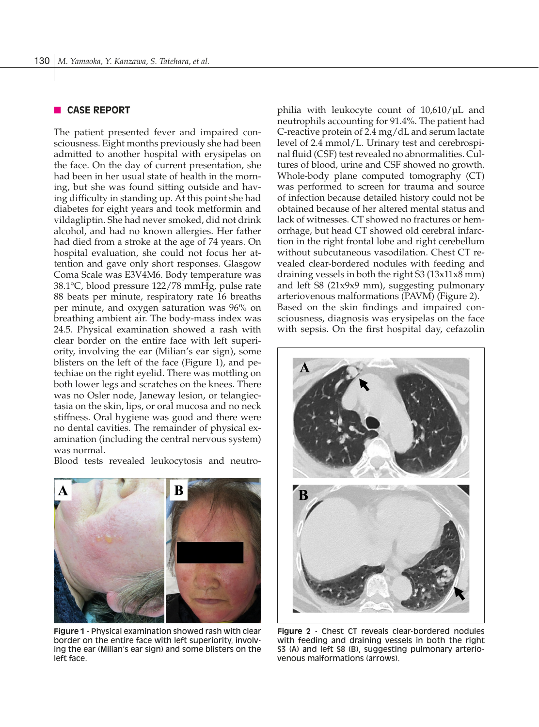## **CASE REPORT**

The patient presented fever and impaired consciousness. Eight months previously she had been admitted to another hospital with erysipelas on the face. On the day of current presentation, she had been in her usual state of health in the morning, but she was found sitting outside and having difficulty in standing up. At this point she had diabetes for eight years and took metformin and vildagliptin. She had never smoked, did not drink alcohol, and had no known allergies. Her father had died from a stroke at the age of 74 years. On hospital evaluation, she could not focus her attention and gave only short responses. Glasgow Coma Scale was E3V4M6. Body temperature was 38.1°C, blood pressure 122/78 mmHg, pulse rate 88 beats per minute, respiratory rate 16 breaths per minute, and oxygen saturation was 96% on breathing ambient air. The body-mass index was 24.5. Physical examination showed a rash with clear border on the entire face with left superiority, involving the ear (Milian's ear sign), some blisters on the left of the face (Figure 1), and petechiae on the right eyelid. There was mottling on both lower legs and scratches on the knees. There was no Osler node, Janeway lesion, or telangiectasia on the skin, lips, or oral mucosa and no neck stiffness. Oral hygiene was good and there were no dental cavities. The remainder of physical examination (including the central nervous system) was normal.

Blood tests revealed leukocytosis and neutro-



**Figure 1** - Physical examination showed rash with clear border on the entire face with left superiority, involving the ear (Milian's ear sign) and some blisters on the left face.

philia with leukocyte count of 10,610/μL and neutrophils accounting for 91.4%. The patient had C-reactive protein of 2.4 mg/dL and serum lactate level of 2.4 mmol/L. Urinary test and cerebrospinal fluid (CSF) test revealed no abnormalities. Cultures of blood, urine and CSF showed no growth. Whole-body plane computed tomography (CT) was performed to screen for trauma and source of infection because detailed history could not be obtained because of her altered mental status and lack of witnesses. CT showed no fractures or hemorrhage, but head CT showed old cerebral infarction in the right frontal lobe and right cerebellum without subcutaneous vasodilation. Chest CT revealed clear-bordered nodules with feeding and draining vessels in both the right S3 (13x11x8 mm) and left S8 (21x9x9 mm), suggesting pulmonary arteriovenous malformations (PAVM) (Figure 2). Based on the skin findings and impaired consciousness, diagnosis was erysipelas on the face with sepsis. On the first hospital day, cefazolin



**Figure 2** - Chest CT reveals clear-bordered nodules with feeding and draining vessels in both the right S3 (A) and left S8 (B), suggesting pulmonary arteriovenous malformations (arrows).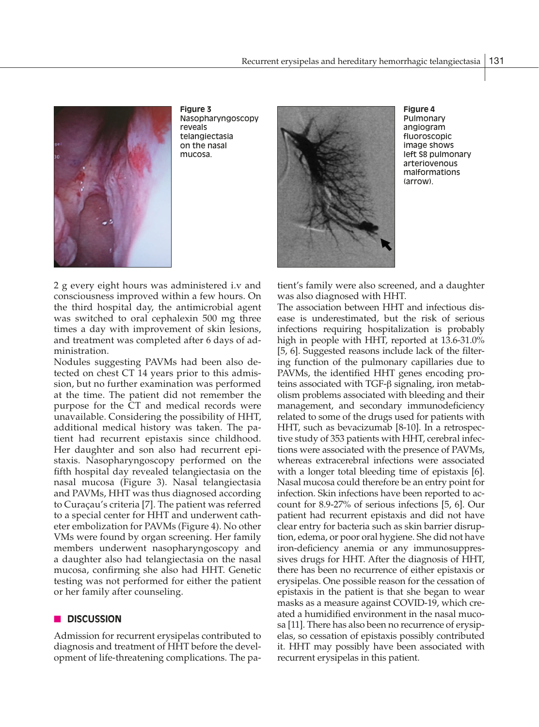

**Figure 3** Nasopharyngoscopy reveals telangiectasia on the nasal mucosa.



**Figure 4** Pulmonary angiogram fluoroscopic image shows left S8 pulmonary arteriovenous malformations (arrow).

2 g every eight hours was administered i.v and consciousness improved within a few hours. On the third hospital day, the antimicrobial agent was switched to oral cephalexin 500 mg three times a day with improvement of skin lesions, and treatment was completed after 6 days of administration.

Nodules suggesting PAVMs had been also detected on chest CT 14 years prior to this admission, but no further examination was performed at the time. The patient did not remember the purpose for the CT and medical records were unavailable. Considering the possibility of HHT, additional medical history was taken. The patient had recurrent epistaxis since childhood. Her daughter and son also had recurrent epistaxis. Nasopharyngoscopy performed on the fifth hospital day revealed telangiectasia on the nasal mucosa (Figure 3). Nasal telangiectasia and PAVMs, HHT was thus diagnosed according to Curaçau's criteria [7]. The patient was referred to a special center for HHT and underwent catheter embolization for PAVMs (Figure 4). No other VMs were found by organ screening. Her family members underwent nasopharyngoscopy and a daughter also had telangiectasia on the nasal mucosa, confirming she also had HHT. Genetic testing was not performed for either the patient or her family after counseling.

## n **DISCUSSION**

Admission for recurrent erysipelas contributed to diagnosis and treatment of HHT before the development of life-threatening complications. The patient's family were also screened, and a daughter was also diagnosed with HHT.

The association between HHT and infectious disease is underestimated, but the risk of serious infections requiring hospitalization is probably high in people with HHT, reported at 13.6-31.0% [5, 6]. Suggested reasons include lack of the filtering function of the pulmonary capillaries due to PAVMs, the identified HHT genes encoding proteins associated with TGF-β signaling, iron metabolism problems associated with bleeding and their management, and secondary immunodeficiency related to some of the drugs used for patients with HHT, such as bevacizumab [8-10]. In a retrospective study of 353 patients with HHT, cerebral infections were associated with the presence of PAVMs, whereas extracerebral infections were associated with a longer total bleeding time of epistaxis [6]. Nasal mucosa could therefore be an entry point for infection. Skin infections have been reported to account for 8.9-27% of serious infections [5, 6]. Our patient had recurrent epistaxis and did not have clear entry for bacteria such as skin barrier disruption, edema, or poor oral hygiene. She did not have iron-deficiency anemia or any immunosuppressives drugs for HHT. After the diagnosis of HHT, there has been no recurrence of either epistaxis or erysipelas. One possible reason for the cessation of epistaxis in the patient is that she began to wear masks as a measure against COVID-19, which created a humidified environment in the nasal mucosa [11]. There has also been no recurrence of erysipelas, so cessation of epistaxis possibly contributed it. HHT may possibly have been associated with recurrent erysipelas in this patient.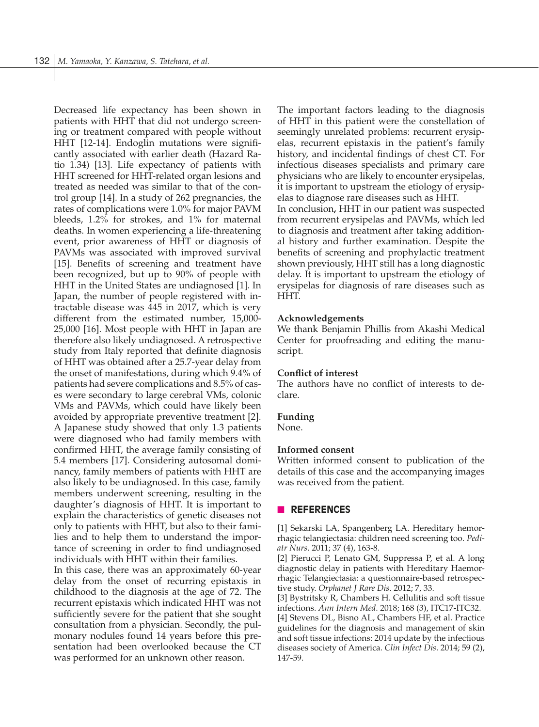Decreased life expectancy has been shown in patients with HHT that did not undergo screening or treatment compared with people without HHT [12-14]. Endoglin mutations were significantly associated with earlier death (Hazard Ratio 1.34) [13]. Life expectancy of patients with HHT screened for HHT-related organ lesions and treated as needed was similar to that of the control group [14]. In a study of 262 pregnancies, the rates of complications were 1.0% for major PAVM bleeds, 1.2% for strokes, and 1% for maternal deaths. In women experiencing a life-threatening event, prior awareness of HHT or diagnosis of PAVMs was associated with improved survival [15]. Benefits of screening and treatment have been recognized, but up to 90% of people with HHT in the United States are undiagnosed [1]. In Japan, the number of people registered with intractable disease was 445 in 2017, which is very different from the estimated number, 15,000- 25,000 [16]. Most people with HHT in Japan are therefore also likely undiagnosed. A retrospective study from Italy reported that definite diagnosis of HHT was obtained after a 25.7-year delay from the onset of manifestations, during which 9.4% of patients had severe complications and 8.5% of cases were secondary to large cerebral VMs, colonic VMs and PAVMs, which could have likely been avoided by appropriate preventive treatment [2]. A Japanese study showed that only 1.3 patients were diagnosed who had family members with confirmed HHT, the average family consisting of 5.4 members [17]. Considering autosomal dominancy, family members of patients with HHT are also likely to be undiagnosed. In this case, family members underwent screening, resulting in the daughter's diagnosis of HHT. It is important to explain the characteristics of genetic diseases not only to patients with HHT, but also to their families and to help them to understand the importance of screening in order to find undiagnosed individuals with HHT within their families.

In this case, there was an approximately 60-year delay from the onset of recurring epistaxis in childhood to the diagnosis at the age of 72. The recurrent epistaxis which indicated HHT was not sufficiently severe for the patient that she sought consultation from a physician. Secondly, the pulmonary nodules found 14 years before this presentation had been overlooked because the CT was performed for an unknown other reason.

The important factors leading to the diagnosis of HHT in this patient were the constellation of seemingly unrelated problems: recurrent erysipelas, recurrent epistaxis in the patient's family history, and incidental findings of chest CT. For infectious diseases specialists and primary care physicians who are likely to encounter erysipelas, it is important to upstream the etiology of erysipelas to diagnose rare diseases such as HHT. In conclusion**,** HHT in our patient was suspected from recurrent erysipelas and PAVMs, which led to diagnosis and treatment after taking additional history and further examination. Despite the benefits of screening and prophylactic treatment shown previously, HHT still has a long diagnostic delay. It is important to upstream the etiology of erysipelas for diagnosis of rare diseases such as HHT.

#### **Acknowledgements**

We thank Benjamin Phillis from Akashi Medical Center for proofreading and editing the manuscript.

#### **Conflict of interest**

The authors have no conflict of interests to declare.

#### **Funding**

None.

# **Informed consent**

Written informed consent to publication of the details of this case and the accompanying images was received from the patient.

## n **REFERENCES**

[1] Sekarski LA, Spangenberg LA. Hereditary hemorrhagic telangiectasia: children need screening too. *Pediatr Nurs*. 2011; 37 (4), 163-8.

[2] Pierucci P, Lenato GM, Suppressa P, et al. A long diagnostic delay in patients with Hereditary Haemorrhagic Telangiectasia: a questionnaire-based retrospective study. *Orphanet J Rare Dis*. 2012; 7, 33.

[3] Bystritsky R, Chambers H. Cellulitis and soft tissue infections. *Ann Intern Med*. 2018; 168 (3), ITC17-ITC32.

[4] Stevens DL, Bisno AL, Chambers HF, et al. Practice guidelines for the diagnosis and management of skin and soft tissue infections: 2014 update by the infectious diseases society of America. *Clin Infect Dis*. 2014; 59 (2), 147-59.